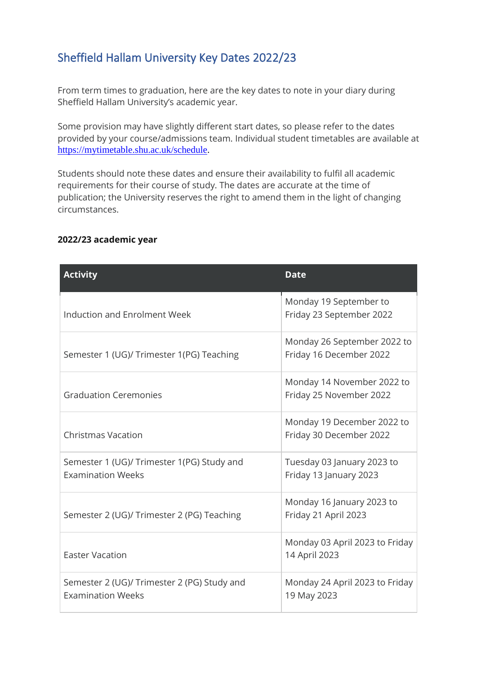## Sheffield Hallam University Key Dates 2022/23

From term times to graduation, here are the key dates to note in your diary during Sheffield Hallam University's academic year.

Some provision may have slightly different start dates, so please refer to the dates provided by your course/admissions team. Individual student timetables are available at [https://mytimetable.shu.ac.uk/schedule.](https://mytimetable.shu.ac.uk/schedule)

Students should note these dates and ensure their availability to fulfil all academic requirements for their course of study. The dates are accurate at the time of publication; the University reserves the right to amend them in the light of changing circumstances.

## **2022/23 academic year**

| <b>Activity</b>                                                         | <b>Date</b>                                            |
|-------------------------------------------------------------------------|--------------------------------------------------------|
| Induction and Enrolment Week                                            | Monday 19 September to<br>Friday 23 September 2022     |
| Semester 1 (UG)/ Trimester 1(PG) Teaching                               | Monday 26 September 2022 to<br>Friday 16 December 2022 |
| <b>Graduation Ceremonies</b>                                            | Monday 14 November 2022 to<br>Friday 25 November 2022  |
| <b>Christmas Vacation</b>                                               | Monday 19 December 2022 to<br>Friday 30 December 2022  |
| Semester 1 (UG)/ Trimester 1(PG) Study and<br><b>Examination Weeks</b>  | Tuesday 03 January 2023 to<br>Friday 13 January 2023   |
| Semester 2 (UG)/ Trimester 2 (PG) Teaching                              | Monday 16 January 2023 to<br>Friday 21 April 2023      |
| <b>Easter Vacation</b>                                                  | Monday 03 April 2023 to Friday<br>14 April 2023        |
| Semester 2 (UG)/ Trimester 2 (PG) Study and<br><b>Examination Weeks</b> | Monday 24 April 2023 to Friday<br>19 May 2023          |